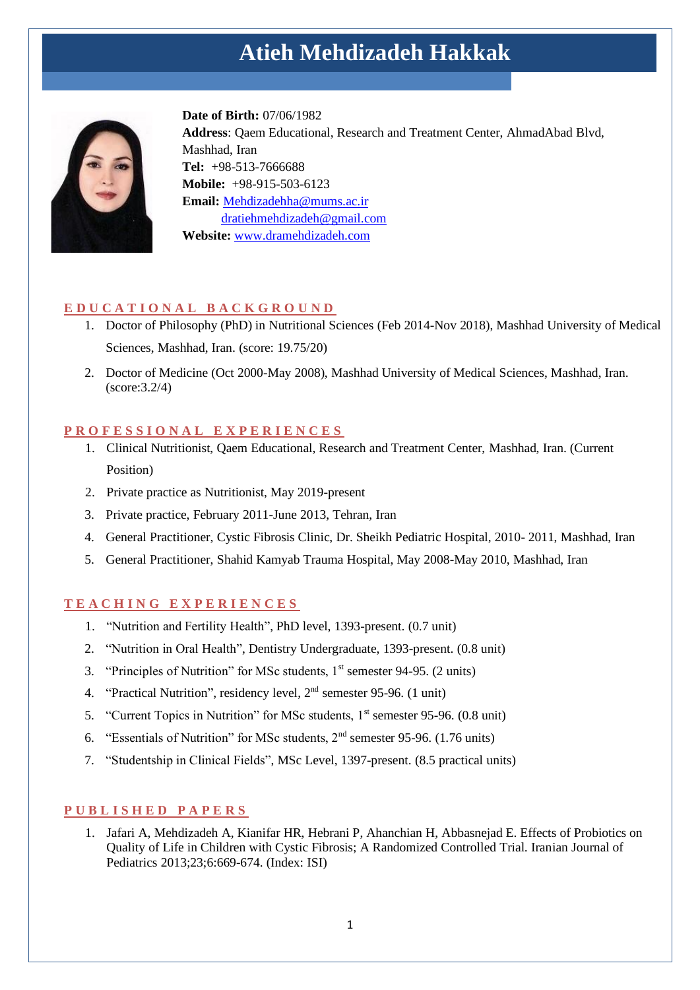# **Atieh Mehdizadeh Hakkak**



**Date of Birth:** 07/06/1982 **Address**: Qaem Educational, Research and Treatment Center, AhmadAbad Blvd, Mashhad, Iran **Tel:** +98-513-7666688 **Mobile:** +98-915-503-6123 **Email:** Mehdizadehha@mums.ac.ir [dratiehmehdizadeh@gmail.com](mailto:dratiehmehdizadeh@gmail.com) **Website:** [www.dramehdizadeh.com](http://www.dramehdizadeh.com/)

# **E D U C A T I O N A L B A C K G R O U N D**

- 1. Doctor of Philosophy (PhD) in Nutritional Sciences (Feb 2014-Nov 2018), Mashhad University of Medical Sciences, Mashhad, Iran. (score: 19.75/20)
- 2. Doctor of Medicine (Oct 2000-May 2008), Mashhad University of Medical Sciences, Mashhad, Iran. (score:3.2/4)

#### **P R O F E S S I O N A L E X P E R I E N C E S**

- 1. Clinical Nutritionist, Qaem Educational, Research and Treatment Center, Mashhad, Iran. (Current Position)
- 2. Private practice as Nutritionist, May 2019-present
- 3. Private practice, February 2011-June 2013, Tehran, Iran
- 4. General Practitioner, Cystic Fibrosis Clinic, Dr. Sheikh Pediatric Hospital, 2010- 2011, Mashhad, Iran
- 5. General Practitioner, Shahid Kamyab Trauma Hospital, May 2008-May 2010, Mashhad, Iran

#### **T E A C H I N G E X P E R I E N C E S**

- 1. "Nutrition and Fertility Health", PhD level, 1393-present. (0.7 unit)
- 2. "Nutrition in Oral Health", Dentistry Undergraduate, 1393-present. (0.8 unit)
- 3. "Principles of Nutrition" for MSc students,  $1<sup>st</sup>$  semester 94-95. (2 units)
- 4. "Practical Nutrition", residency level, 2<sup>nd</sup> semester 95-96. (1 unit)
- 5. "Current Topics in Nutrition" for MSc students,  $1<sup>st</sup>$  semester 95-96. (0.8 unit)
- 6. "Essentials of Nutrition" for MSc students, 2nd semester 95-96. (1.76 units)
- 7. "Studentship in Clinical Fields", MSc Level, 1397-present. (8.5 practical units)

#### **P U B L I S H E D P A P E R S**

1. Jafari A, Mehdizadeh A, Kianifar HR, Hebrani P, Ahanchian H, Abbasnejad E. Effects of Probiotics on Quality of Life in Children with Cystic Fibrosis; A Randomized Controlled Trial. Iranian Journal of Pediatrics 2013;23;6:669-674. (Index: ISI)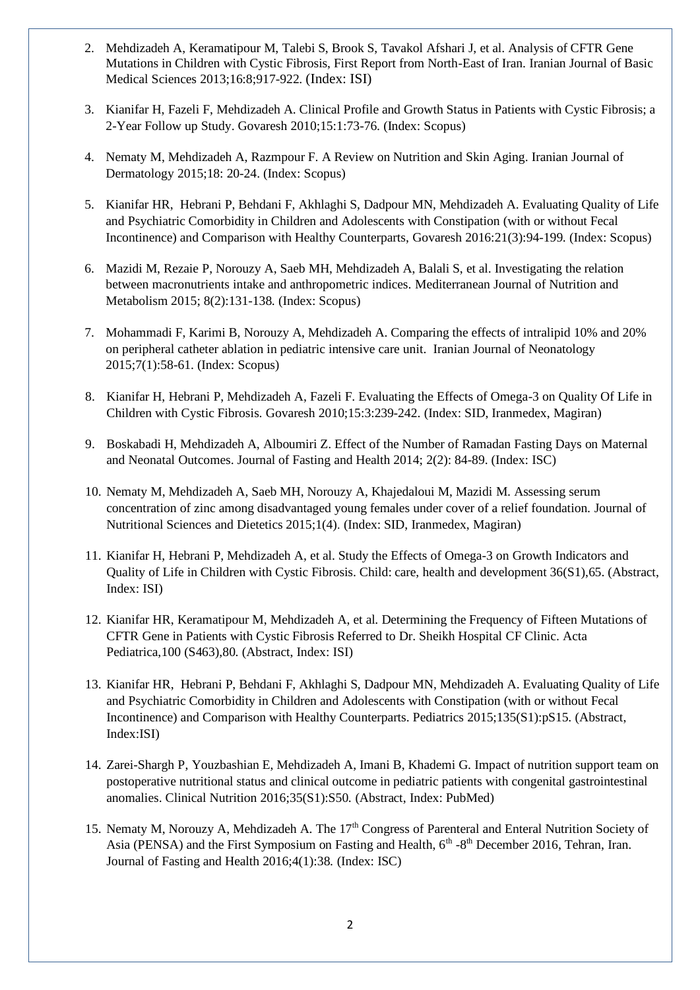- 2. Mehdizadeh A, Keramatipour M, Talebi S, Brook S, Tavakol Afshari J, et al. Analysis of CFTR Gene Mutations in Children with Cystic Fibrosis, First Report from North-East of Iran. Iranian Journal of Basic Medical Sciences 2013;16:8;917-922. (Index: ISI)
- 3. Kianifar H, Fazeli F, Mehdizadeh A. Clinical Profile and Growth Status in Patients with Cystic Fibrosis; a 2-Year Follow up Study. Govaresh 2010;15:1:73-76. (Index: Scopus)
- 4. Nematy M, Mehdizadeh A, Razmpour F. A Review on Nutrition and Skin Aging. Iranian Journal of Dermatology 2015;18: 20-24. (Index: Scopus)
- 5. Kianifar HR, [Hebrani](http://pediatrics.aappublications.org/search?author1=Paria+Hebrani&sortspec=date&submit=Submit) P, Behdani F, [Akhlaghi](http://pediatrics.aappublications.org/search?author1=Saeed+Akhlaghi&sortspec=date&submit=Submit) S, [Dadpour](http://pediatrics.aappublications.org/search?author1=Mohammad+Naser+Dadpour&sortspec=date&submit=Submit) MN[, Mehdizadeh](http://pediatrics.aappublications.org/search?author1=Atieh+H.+Mehdizadeh&sortspec=date&submit=Submit) A. Evaluating Quality of Life and Psychiatric Comorbidity in Children and Adolescents with Constipation (with or without Fecal Incontinence) and Comparison with Healthy Counterparts, Govaresh 2016:21(3):94-199. (Index: Scopus)
- 6. Mazidi M, Rezaie P, Norouzy A, Saeb MH, Mehdizadeh A, Balali S, et al. Investigating the relation between macronutrients intake and anthropometric indices. Mediterranean [Journal of Nutrition and](http://content.iospress.com/journals/mediterranean-journal-of-nutrition-and-metabolism)  [Metabolism](http://content.iospress.com/journals/mediterranean-journal-of-nutrition-and-metabolism) 2015; 8(2):131-138. (Index: Scopus)
- 7. Mohammadi F, Karimi B, Norouzy A, Mehdizadeh A. Comparing the effects of intralipid 10% and 20% on peripheral catheter ablation in pediatric intensive care unit. Iranian Journal of Neonatology 2015;7(1):58-61. (Index: Scopus)
- 8. Kianifar H, Hebrani P, Mehdizadeh A, Fazeli F. Evaluating the Effects of Omega-3 on Quality Of Life in Children with Cystic Fibrosis. Govaresh 2010;15:3:239-242. (Index: SID, Iranmedex, Magiran)
- 9. Boskabadi H, Mehdizadeh A, Alboumiri Z. Effect of the Number of Ramadan Fasting Days on Maternal and Neonatal Outcomes. Journal of Fasting and Health 2014; 2(2): 84-89. (Index: ISC)
- 10. Nematy M, Mehdizadeh A, Saeb MH, Norouzy A, Khajedaloui M, Mazidi M. Assessing serum concentration of zinc among disadvantaged young females under cover of a relief foundation. Journal of Nutritional Sciences and Dietetics 2015;1(4). (Index: SID, Iranmedex, Magiran)
- 11. Kianifar H, Hebrani P, Mehdizadeh A, et al. Study the Effects of Omega-3 on Growth Indicators and Quality of Life in Children with Cystic Fibrosis. Child: care, health and development 36(S1),65. (Abstract, Index: ISI)
- 12. Kianifar HR, Keramatipour M, Mehdizadeh A, et al. Determining the Frequency of Fifteen Mutations of CFTR Gene in Patients with Cystic Fibrosis Referred to Dr. Sheikh Hospital CF Clinic. Acta Pediatrica,100 (S463),80. (Abstract, Index: ISI)
- 13. Kianifar HR[, Hebrani](http://pediatrics.aappublications.org/search?author1=Paria+Hebrani&sortspec=date&submit=Submit) P, Behdani F, [Akhlaghi](http://pediatrics.aappublications.org/search?author1=Saeed+Akhlaghi&sortspec=date&submit=Submit) S, [Dadpour](http://pediatrics.aappublications.org/search?author1=Mohammad+Naser+Dadpour&sortspec=date&submit=Submit) MN, [Mehdizadeh](http://pediatrics.aappublications.org/search?author1=Atieh+H.+Mehdizadeh&sortspec=date&submit=Submit) A. Evaluating Quality of Life and Psychiatric Comorbidity in Children and Adolescents with Constipation (with or without Fecal Incontinence) and Comparison with Healthy Counterparts. Pediatrics 2015;135(S1):pS15. (Abstract, Index:ISI)
- 14. Zarei-Shargh P, Youzbashian E, Mehdizadeh A, Imani B, Khademi G. Impact of nutrition support team on postoperative nutritional status and clinical outcome in pediatric patients with congenital gastrointestinal anomalies. Clinical Nutrition 2016;35(S1):S50. (Abstract, Index: PubMed)
- 15. Nematy M, Norouzy A, Mehdizadeh A. The 17<sup>th</sup> Congress of Parenteral and Enteral Nutrition Society of Asia (PENSA) and the First Symposium on Fasting and Health,  $6<sup>th</sup> - 8<sup>th</sup>$  December 2016, Tehran, Iran. Journal of Fasting and Health 2016;4(1):38. (Index: ISC)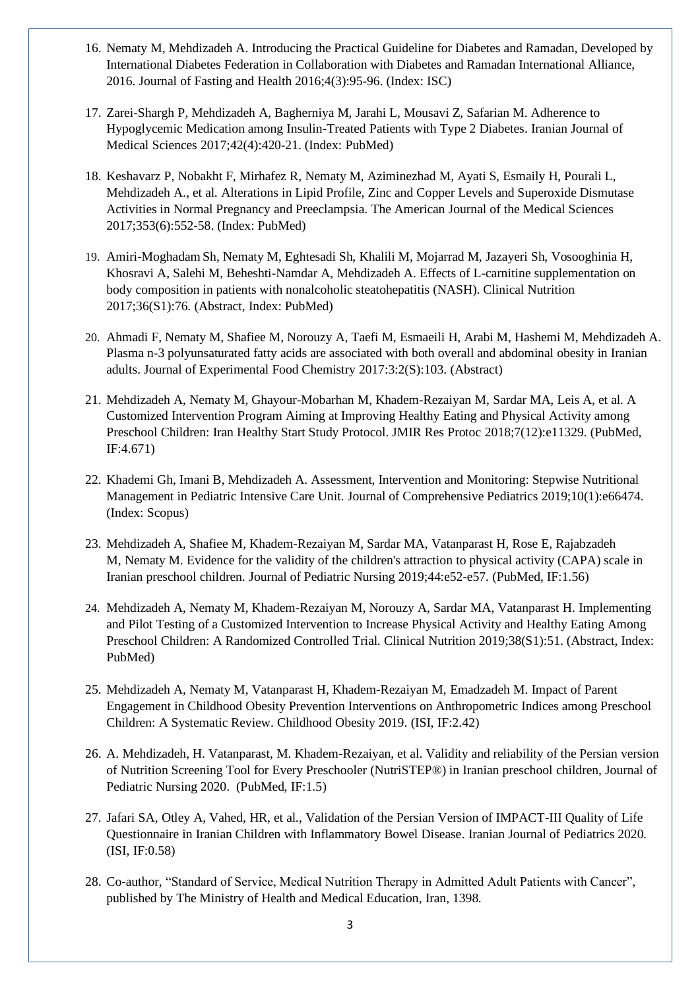- 16. Nematy M, Mehdizadeh A. Introducing the Practical Guideline for Diabetes and Ramadan, Developed by International Diabetes Federation in Collaboration with Diabetes and Ramadan International Alliance, 2016. Journal of Fasting and Health 2016;4(3):95-96. (Index: ISC)
- 17. Zarei-Shargh P, Mehdizadeh A, Bagherniya M, Jarahi L, Mousavi Z, Safarian M. Adherence to Hypoglycemic Medication among Insulin-Treated Patients with Type 2 Diabetes. Iranian Journal of Medical Sciences 2017;42(4):420-21. (Index: PubMed)
- 18. Keshavarz P, Nobakht F, Mirhafez R, Nematy M, Aziminezhad M, Ayati S, Esmaily H, Pourali L, Mehdizadeh A., et al. Alterations in Lipid Profile, Zinc and Copper Levels and Superoxide Dismutase Activities in Normal Pregnancy and Preeclampsia. The American Journal of the Medical Sciences 2017;353(6):552-58. (Index: PubMed)
- 19. Amiri-Moghadam Sh, Nematy M, Eghtesadi Sh, Khalili M, Mojarrad M, Jazayeri Sh, Vosooghinia H, Khosravi A, Salehi M, Beheshti-Namdar A, Mehdizadeh A. Effects of L-carnitine supplementation on body composition in patients with nonalcoholic steatohepatitis (NASH). Clinical Nutrition 2017;36(S1):76. (Abstract, Index: PubMed)
- 20. Ahmadi F, Nematy M, Shafiee M, Norouzy A, Taefi M, Esmaeili H, Arabi M, Hashemi M, Mehdizadeh A. Plasma n-3 polyunsaturated fatty acids are associated with both overall and abdominal obesity in Iranian adults. Journal of Experimental Food Chemistry 2017:3:2(S):103. (Abstract)
- 21. Mehdizadeh A, Nematy M, Ghayour-Mobarhan M, Khadem-Rezaiyan M, Sardar MA, Leis A, et al. A Customized Intervention Program Aiming at Improving Healthy Eating and Physical Activity among Preschool Children: Iran Healthy Start Study Protocol. JMIR Res Protoc 2018;7(12):e11329. (PubMed, IF:4.671)
- 22. Khademi Gh, Imani B, Mehdizadeh A. Assessment, Intervention and Monitoring: Stepwise Nutritional Management in Pediatric Intensive Care Unit. Journal of Comprehensive Pediatrics 2019;10(1):e66474. (Index: Scopus)
- 23. [Mehdizadeh A,](https://www.ncbi.nlm.nih.gov/pubmed/?term=Mehdizadeh%20A%5BAuthor%5D&cauthor=true&cauthor_uid=30414753) [Shafiee M,](https://www.ncbi.nlm.nih.gov/pubmed/?term=Shafiee%20M%5BAuthor%5D&cauthor=true&cauthor_uid=30414753) [Khadem-Rezaiyan M,](https://www.ncbi.nlm.nih.gov/pubmed/?term=Khadem-Rezaiyan%20M%5BAuthor%5D&cauthor=true&cauthor_uid=30414753) [Sardar MA,](https://www.ncbi.nlm.nih.gov/pubmed/?term=Sardar%20MA%5BAuthor%5D&cauthor=true&cauthor_uid=30414753) [Vatanparast H,](https://www.ncbi.nlm.nih.gov/pubmed/?term=Vatanparast%20H%5BAuthor%5D&cauthor=true&cauthor_uid=30414753) [Rose E,](https://www.ncbi.nlm.nih.gov/pubmed/?term=Rose%20E%5BAuthor%5D&cauthor=true&cauthor_uid=30414753) [Rajabzadeh](https://www.ncbi.nlm.nih.gov/pubmed/?term=Rajabzadeh%20M%5BAuthor%5D&cauthor=true&cauthor_uid=30414753)  [M,](https://www.ncbi.nlm.nih.gov/pubmed/?term=Rajabzadeh%20M%5BAuthor%5D&cauthor=true&cauthor_uid=30414753) [Nematy M.](https://www.ncbi.nlm.nih.gov/pubmed/?term=Nematy%20M%5BAuthor%5D&cauthor=true&cauthor_uid=30414753) Evidence for the validity of the children's attraction to physical activity (CAPA) scale in Iranian preschool children. [Journal of](https://www.ncbi.nlm.nih.gov/pubmed/30414753) Pediatric Nursing 2019;44:e52-e57. (PubMed, IF:1.56)
- 24. [Mehdizadeh A,](javascript:void(0);) Nematy M, [Khadem-Rezaiyan](javascript:void(0);) M, [Norouzy](javascript:void(0);) A, Sardar MA, [Vatanparast](javascript:void(0);) H. Implementing and Pilot Testing of a Customized Intervention to Increase Physical Activity and Healthy Eating Among Preschool Children: A Randomized Controlled Trial. Clinical Nutrition 2019;38(S1):51. (Abstract, Index: PubMed)
- 25. [Mehdizadeh A,](https://www.ncbi.nlm.nih.gov/pubmed/?term=Mehdizadeh%20A%5BAuthor%5D&cauthor=true&cauthor_uid=31479311) [Nematy M,](https://www.ncbi.nlm.nih.gov/pubmed/?term=Nematy%20M%5BAuthor%5D&cauthor=true&cauthor_uid=31479311) [Vatanparast H,](https://www.ncbi.nlm.nih.gov/pubmed/?term=Vatanparast%20H%5BAuthor%5D&cauthor=true&cauthor_uid=31479311) [Khadem-Rezaiyan M,](https://www.ncbi.nlm.nih.gov/pubmed/?term=Khadem-Rezaiyan%20M%5BAuthor%5D&cauthor=true&cauthor_uid=31479311) [Emadzadeh M.](https://www.ncbi.nlm.nih.gov/pubmed/?term=Emadzadeh%20M%5BAuthor%5D&cauthor=true&cauthor_uid=31479311) [Impact of Parent](https://www.researchgate.net/publication/335597593_Impact_of_Parent_Engagement_in_Childhood_Obesity_Prevention_Interventions_on_Anthropometric_Indices_among_Preschool_Children_A_Systematic_Review)  [Engagement in Childhood Obesity Prevention Interventions on Anthropometric Indices among Preschool](https://www.researchgate.net/publication/335597593_Impact_of_Parent_Engagement_in_Childhood_Obesity_Prevention_Interventions_on_Anthropometric_Indices_among_Preschool_Children_A_Systematic_Review)  [Children: A Systematic Review.](https://www.researchgate.net/publication/335597593_Impact_of_Parent_Engagement_in_Childhood_Obesity_Prevention_Interventions_on_Anthropometric_Indices_among_Preschool_Children_A_Systematic_Review) [Childhood](https://www.ncbi.nlm.nih.gov/pubmed/?term=Impact+of+Parent+Engagement+in+Childhood+Obesity+Prevention+Interventions+on+Anthropometric+Indices+among+Preschool+Children%3A+A+Systematic+Review) Obesity 2019. (ISI, IF:2.42)
- 26. A. Mehdizadeh, H. Vatanparast, M. Khadem-Rezaiyan, et al. Validity and reliability of the Persian version of Nutrition Screening Tool for Every Preschooler (NutriSTEP®) in Iranian preschool children, Journal of Pediatric Nursing 2020. (PubMed, IF:1.5)
- 27. Jafari SA, Otley A, Vahed, HR, et al., Validation of the Persian Version of IMPACT-III Quality of Life Questionnaire in Iranian Children with Inflammatory Bowel Disease. Iranian Journal of Pediatrics 2020. (ISI, IF:0.58)
- 28. Co-author, "Standard of Service, Medical Nutrition Therapy in Admitted Adult Patients with Cancer", published by The Ministry of Health and Medical Education, Iran, 1398.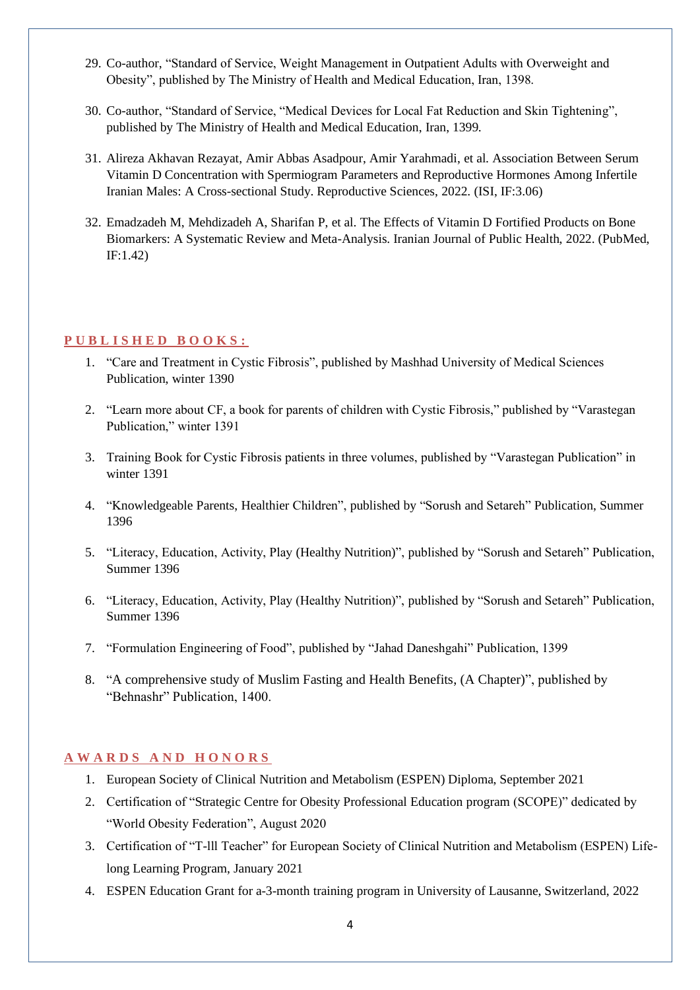- 29. Co-author, "Standard of Service, Weight Management in Outpatient Adults with Overweight and Obesity", published by The Ministry of Health and Medical Education, Iran, 1398.
- 30. Co-author, "Standard of Service, "Medical Devices for Local Fat Reduction and Skin Tightening", published by The Ministry of Health and Medical Education, Iran, 1399.
- 31. [Alireza Akhavan Rezayat,](https://link.springer.com/article/10.1007/s43032-021-00771-4#auth-Alireza_Akhavan-Rezayat) [Amir Abbas Asadpour,](https://link.springer.com/article/10.1007/s43032-021-00771-4#auth-Amir_Abbas-Asadpour) [Amir Yarahmadi,](https://link.springer.com/article/10.1007/s43032-021-00771-4#auth-Amir-Yarahmadi) et al. Association Between Serum Vitamin D Concentration with Spermiogram Parameters and Reproductive Hormones Among Infertile Iranian Males: A Cross-sectional Study. [Reproductive Sciences,](https://link.springer.com/journal/43032) 2022. (ISI, IF:3.06)
- 32. Emadzadeh M, Mehdizadeh A, Sharifan P, et al. The Effects of Vitamin D Fortified Products on Bone Biomarkers: A Systematic Review and Meta-Analysis. Iranian Journal of Public Health, 2022. (PubMed, IF:1.42)

# **P U B L I S H E D B O O K S :**

- 1. "Care and Treatment in Cystic Fibrosis", published by Mashhad University of Medical Sciences Publication, winter 1390
- 2. "Learn more about CF, a book for parents of children with Cystic Fibrosis," published by "Varastegan Publication," winter 1391
- 3. Training Book for Cystic Fibrosis patients in three volumes, published by "Varastegan Publication" in winter 1391
- 4. "Knowledgeable Parents, Healthier Children", published by "Sorush and Setareh" Publication, Summer 1396
- 5. "Literacy, Education, Activity, Play (Healthy Nutrition)", published by "Sorush and Setareh" Publication, Summer 1396
- 6. "Literacy, Education, Activity, Play (Healthy Nutrition)", published by "Sorush and Setareh" Publication, Summer 1396
- 7. "Formulation Engineering of Food", published by "Jahad Daneshgahi" Publication, 1399
- 8. "A comprehensive study of Muslim Fasting and Health Benefits, (A Chapter)", published by "Behnashr" Publication, 1400.

#### **A W A R D S A N D H O N O R S**

- 1. European Society of Clinical Nutrition and Metabolism (ESPEN) Diploma, September 2021
- 2. Certification of "Strategic Centre for Obesity Professional Education program (SCOPE)" dedicated by "World Obesity Federation", August 2020
- 3. Certification of "T-lll Teacher" for European Society of Clinical Nutrition and Metabolism (ESPEN) Lifelong Learning Program, January 2021
- 4. ESPEN Education Grant for a-3-month training program in University of Lausanne, Switzerland, 2022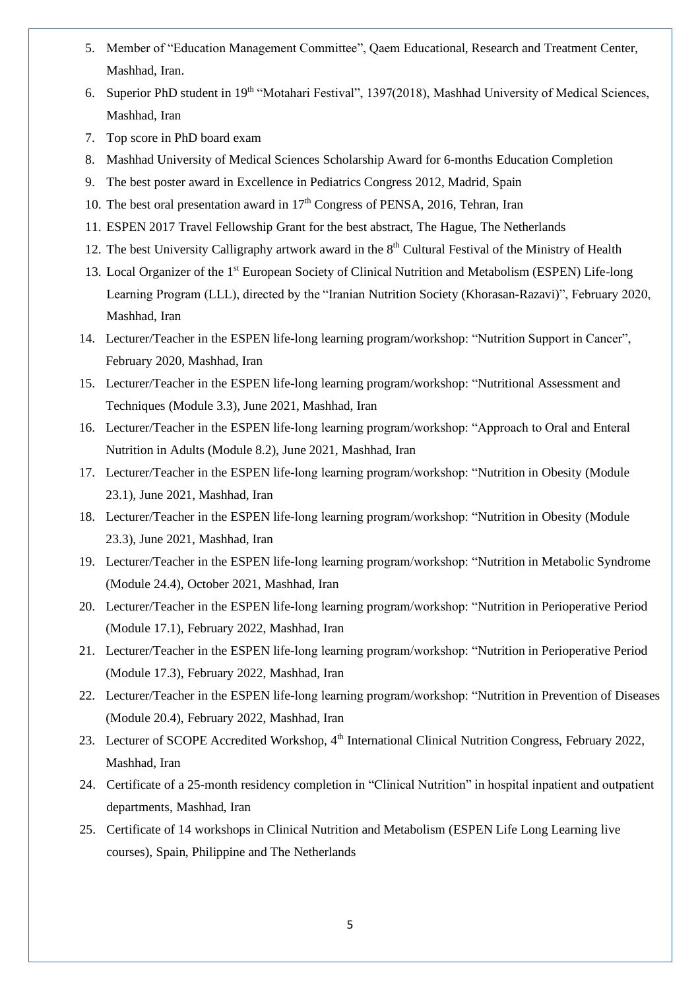- 5. Member of "Education Management Committee", Qaem Educational, Research and Treatment Center, Mashhad, Iran.
- 6. Superior PhD student in 19<sup>th</sup> "Motahari Festival", 1397(2018), Mashhad University of Medical Sciences, Mashhad, Iran
- 7. Top score in PhD board exam
- 8. Mashhad University of Medical Sciences Scholarship Award for 6-months Education Completion
- 9. The best poster award in Excellence in Pediatrics Congress 2012, Madrid, Spain
- 10. The best oral presentation award in  $17<sup>th</sup>$  Congress of PENSA, 2016, Tehran, Iran
- 11. ESPEN 2017 Travel Fellowship Grant for the best abstract, The Hague, The Netherlands
- 12. The best University Calligraphy artwork award in the 8<sup>th</sup> Cultural Festival of the Ministry of Health
- 13. Local Organizer of the 1<sup>st</sup> European Society of Clinical Nutrition and Metabolism (ESPEN) Life-long Learning Program (LLL), directed by the "Iranian Nutrition Society (Khorasan-Razavi)", February 2020, Mashhad, Iran
- 14. Lecturer/Teacher in the ESPEN life-long learning program/workshop: "Nutrition Support in Cancer", February 2020, Mashhad, Iran
- 15. Lecturer/Teacher in the ESPEN life-long learning program/workshop: "Nutritional Assessment and Techniques (Module 3.3), June 2021, Mashhad, Iran
- 16. Lecturer/Teacher in the ESPEN life-long learning program/workshop: "Approach to Oral and Enteral Nutrition in Adults (Module 8.2), June 2021, Mashhad, Iran
- 17. Lecturer/Teacher in the ESPEN life-long learning program/workshop: "Nutrition in Obesity (Module 23.1), June 2021, Mashhad, Iran
- 18. Lecturer/Teacher in the ESPEN life-long learning program/workshop: "Nutrition in Obesity (Module 23.3), June 2021, Mashhad, Iran
- 19. Lecturer/Teacher in the ESPEN life-long learning program/workshop: "Nutrition in Metabolic Syndrome (Module 24.4), October 2021, Mashhad, Iran
- 20. Lecturer/Teacher in the ESPEN life-long learning program/workshop: "Nutrition in Perioperative Period (Module 17.1), February 2022, Mashhad, Iran
- 21. Lecturer/Teacher in the ESPEN life-long learning program/workshop: "Nutrition in Perioperative Period (Module 17.3), February 2022, Mashhad, Iran
- 22. Lecturer/Teacher in the ESPEN life-long learning program/workshop: "Nutrition in Prevention of Diseases (Module 20.4), February 2022, Mashhad, Iran
- 23. Lecturer of SCOPE Accredited Workshop, 4<sup>th</sup> International Clinical Nutrition Congress, February 2022, Mashhad, Iran
- 24. Certificate of a 25-month residency completion in "Clinical Nutrition" in hospital inpatient and outpatient departments, Mashhad, Iran
- 25. Certificate of 14 workshops in Clinical Nutrition and Metabolism (ESPEN Life Long Learning live courses), Spain, Philippine and The Netherlands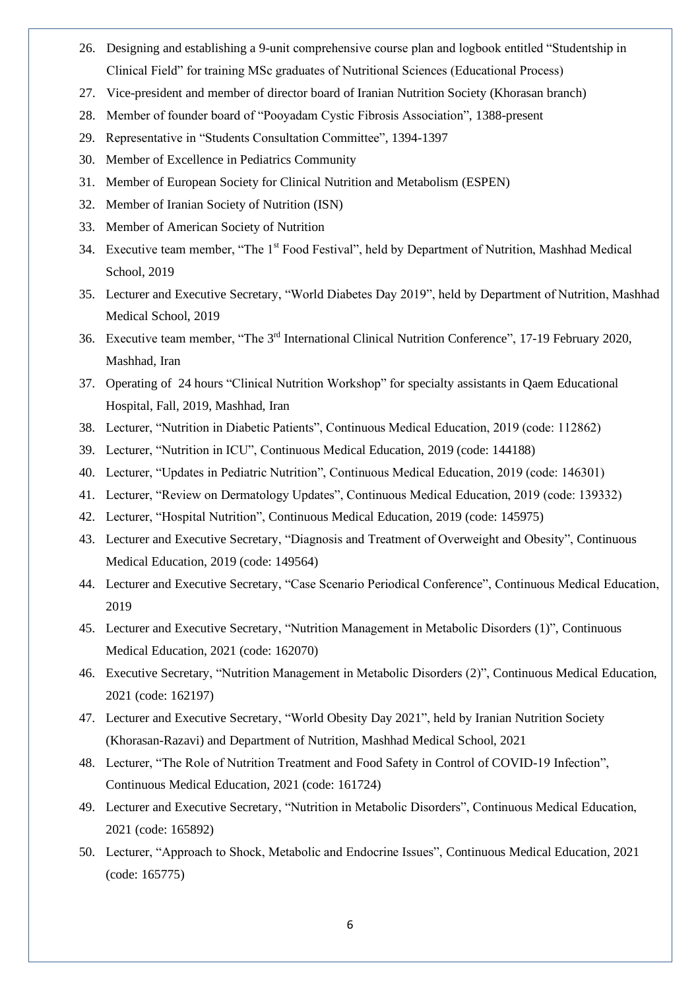- 26. Designing and establishing a 9-unit comprehensive course plan and logbook entitled "Studentship in Clinical Field" for training MSc graduates of Nutritional Sciences (Educational Process)
- 27. Vice-president and member of director board of Iranian Nutrition Society (Khorasan branch)
- 28. Member of founder board of "Pooyadam Cystic Fibrosis Association", 1388-present
- 29. Representative in "Students Consultation Committee", 1394-1397
- 30. Member of Excellence in Pediatrics Community
- 31. Member of European Society for Clinical Nutrition and Metabolism (ESPEN)
- 32. Member of Iranian Society of Nutrition (ISN)
- 33. Member of American Society of Nutrition
- 34. Executive team member, "The 1<sup>st</sup> Food Festival", held by Department of Nutrition, Mashhad Medical School, 2019
- 35. Lecturer and Executive Secretary, "World Diabetes Day 2019", held by Department of Nutrition, Mashhad Medical School, 2019
- 36. Executive team member, "The 3<sup>rd</sup> International Clinical Nutrition Conference", 17-19 February 2020, Mashhad, Iran
- 37. Operating of 24 hours "Clinical Nutrition Workshop" for specialty assistants in Qaem Educational Hospital, Fall, 2019, Mashhad, Iran
- 38. Lecturer, "Nutrition in Diabetic Patients", Continuous Medical Education, 2019 (code: 112862)
- 39. Lecturer, "Nutrition in ICU", Continuous Medical Education, 2019 (code: 144188)
- 40. Lecturer, "Updates in Pediatric Nutrition", Continuous Medical Education, 2019 (code: 146301)
- 41. Lecturer, "Review on Dermatology Updates", Continuous Medical Education, 2019 (code: 139332)
- 42. Lecturer, "Hospital Nutrition", Continuous Medical Education, 2019 (code: 145975)
- 43. Lecturer and Executive Secretary, "Diagnosis and Treatment of Overweight and Obesity", Continuous Medical Education, 2019 (code: 149564)
- 44. Lecturer and Executive Secretary, "Case Scenario Periodical Conference", Continuous Medical Education, 2019
- 45. Lecturer and Executive Secretary, "Nutrition Management in Metabolic Disorders (1)", Continuous Medical Education, 2021 (code: 162070)
- 46. Executive Secretary, "Nutrition Management in Metabolic Disorders (2)", Continuous Medical Education, 2021 (code: 162197)
- 47. Lecturer and Executive Secretary, "World Obesity Day 2021", held by Iranian Nutrition Society (Khorasan-Razavi) and Department of Nutrition, Mashhad Medical School, 2021
- 48. Lecturer, "The Role of Nutrition Treatment and Food Safety in Control of COVID-19 Infection", Continuous Medical Education, 2021 (code: 161724)
- 49. Lecturer and Executive Secretary, "Nutrition in Metabolic Disorders", Continuous Medical Education, 2021 (code: 165892)
- 50. Lecturer, "Approach to Shock, Metabolic and Endocrine Issues", Continuous Medical Education, 2021 (code: 165775)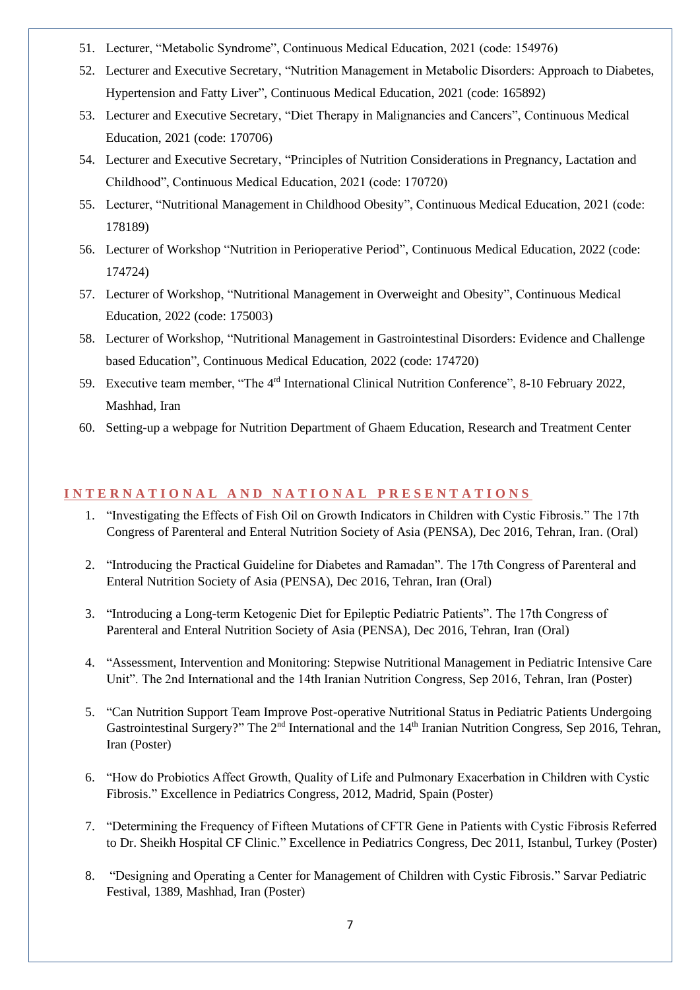- 51. Lecturer, "Metabolic Syndrome", Continuous Medical Education, 2021 (code: 154976)
- 52. Lecturer and Executive Secretary, "Nutrition Management in Metabolic Disorders: Approach to Diabetes, Hypertension and Fatty Liver", Continuous Medical Education, 2021 (code: 165892)
- 53. Lecturer and Executive Secretary, "Diet Therapy in Malignancies and Cancers", Continuous Medical Education, 2021 (code: 170706)
- 54. Lecturer and Executive Secretary, "Principles of Nutrition Considerations in Pregnancy, Lactation and Childhood", Continuous Medical Education, 2021 (code: 170720)
- 55. Lecturer, "Nutritional Management in Childhood Obesity", Continuous Medical Education, 2021 (code: 178189)
- 56. Lecturer of Workshop "Nutrition in Perioperative Period", Continuous Medical Education, 2022 (code: 174724)
- 57. Lecturer of Workshop, "Nutritional Management in Overweight and Obesity", Continuous Medical Education, 2022 (code: 175003)
- 58. Lecturer of Workshop, "Nutritional Management in Gastrointestinal Disorders: Evidence and Challenge based Education", Continuous Medical Education, 2022 (code: 174720)
- 59. Executive team member, "The 4<sup>rd</sup> International Clinical Nutrition Conference", 8-10 February 2022, Mashhad, Iran
- 60. Setting-up a webpage for Nutrition Department of Ghaem Education, Research and Treatment Center

#### **I N T E R N A T I O N A L A N D N A T I O N A L P R E S E N T A T I O N S**

- 1. "Investigating the Effects of Fish Oil on Growth Indicators in Children with Cystic Fibrosis." The 17th Congress of Parenteral and Enteral Nutrition Society of Asia (PENSA), Dec 2016, Tehran, Iran. (Oral)
- 2. "Introducing the Practical Guideline for Diabetes and Ramadan". The 17th Congress of Parenteral and Enteral Nutrition Society of Asia (PENSA), Dec 2016, Tehran, Iran (Oral)
- 3. "Introducing a Long-term Ketogenic Diet for Epileptic Pediatric Patients". The 17th Congress of Parenteral and Enteral Nutrition Society of Asia (PENSA), Dec 2016, Tehran, Iran (Oral)
- 4. "Assessment, Intervention and Monitoring: Stepwise Nutritional Management in Pediatric Intensive Care Unit". The 2nd International and the 14th Iranian Nutrition Congress, Sep 2016, Tehran, Iran (Poster)
- 5. ["Can Nutrition Support Team Improve Post-operative Nutritional Status in Pediatric Patients Undergoing](http://research.mums.ac.ir/webdocument/load.action?webdocument_code=3000&masterCode=8024334)  [Gastrointestinal Surgery?"](http://research.mums.ac.ir/webdocument/load.action?webdocument_code=3000&masterCode=8024334) The 2<sup>nd</sup> International and the 14<sup>th</sup> Iranian Nutrition Congress, Sep 2016, Tehran, Iran (Poster)
- 6. "How do Probiotics Affect Growth, Quality of Life and Pulmonary Exacerbation in Children with Cystic Fibrosis." Excellence in Pediatrics Congress, 2012, Madrid, Spain (Poster)
- 7. "Determining the Frequency of Fifteen Mutations of CFTR Gene in Patients with Cystic Fibrosis Referred to Dr. Sheikh Hospital CF Clinic." Excellence in Pediatrics Congress, Dec 2011, Istanbul, Turkey (Poster)
- 8. "Designing and Operating a Center for Management of Children with Cystic Fibrosis." Sarvar Pediatric Festival, 1389, Mashhad, Iran (Poster)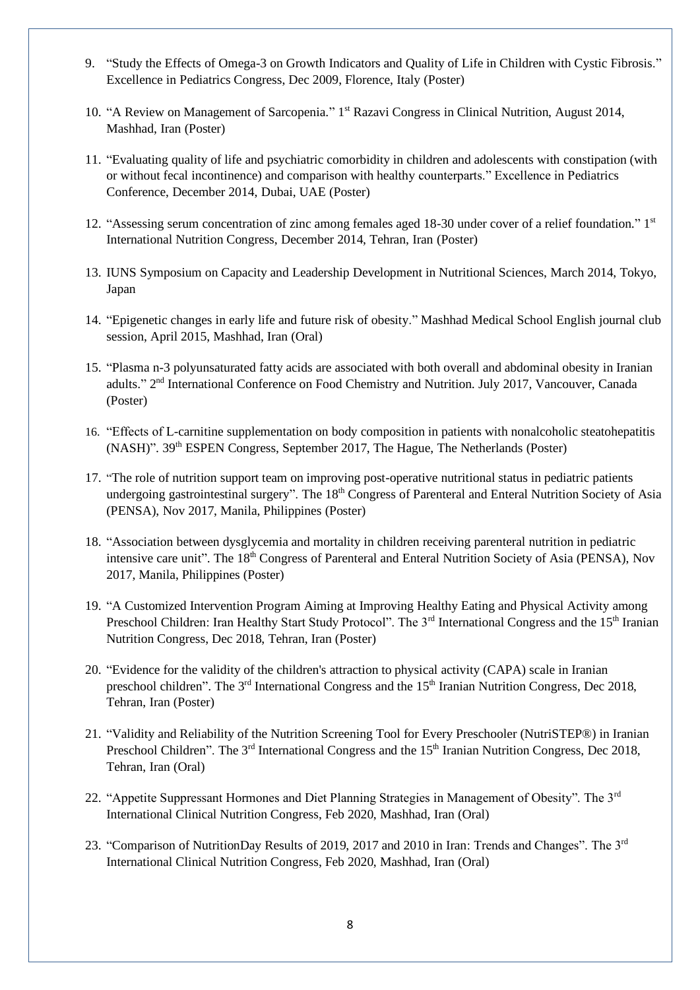- 9. "Study the Effects of Omega-3 on Growth Indicators and Quality of Life in Children with Cystic Fibrosis." Excellence in Pediatrics Congress, Dec 2009, Florence, Italy (Poster)
- 10. "A Review on Management of Sarcopenia." 1<sup>st</sup> Razavi Congress in Clinical Nutrition, August 2014, Mashhad, Iran (Poster)
- 11. "Evaluating quality of life and psychiatric comorbidity in children and adolescents with constipation (with or without fecal incontinence) and comparison with healthy counterparts." Excellence in Pediatrics Conference, December 2014, Dubai, UAE (Poster)
- 12. "Assessing serum concentration of zinc among females aged 18-30 under cover of a relief foundation." 1<sup>st</sup> International Nutrition Congress, December 2014, Tehran, Iran (Poster)
- 13. IUNS Symposium on Capacity and Leadership Development in Nutritional Sciences, March 2014, Tokyo, Japan
- 14. "Epigenetic changes in early life and future risk of obesity." Mashhad Medical School English journal club session, April 2015, Mashhad, Iran (Oral)
- 15. "Plasma n-3 polyunsaturated fatty acids are associated with both overall and abdominal obesity in Iranian adults." 2<sup>nd</sup> International Conference on Food Chemistry and Nutrition. July 2017, Vancouver, Canada (Poster)
- 16. "Effects of L-carnitine supplementation on body composition in patients with nonalcoholic steatohepatitis (NASH)". 39th ESPEN Congress, September 2017, The Hague, The Netherlands (Poster)
- 17. "The role of nutrition support team on improving post-operative nutritional status in pediatric patients undergoing gastrointestinal surgery". The 18<sup>th</sup> Congress of Parenteral and Enteral Nutrition Society of Asia (PENSA), Nov 2017, Manila, Philippines (Poster)
- 18. "Association between dysglycemia and mortality in children receiving parenteral nutrition in pediatric intensive care unit". The 18<sup>th</sup> Congress of Parenteral and Enteral Nutrition Society of Asia (PENSA), Nov 2017, Manila, Philippines (Poster)
- 19. "A Customized Intervention Program Aiming at Improving Healthy Eating and Physical Activity among Preschool Children: Iran Healthy Start Study Protocol". The 3<sup>rd</sup> International Congress and the 15<sup>th</sup> Iranian Nutrition Congress, Dec 2018, Tehran, Iran (Poster)
- 20. "Evidence for the validity of the children's attraction to physical activity (CAPA) scale in Iranian preschool children". The  $3<sup>rd</sup>$  International Congress and the  $15<sup>th</sup>$  Iranian Nutrition Congress, Dec 2018, Tehran, Iran (Poster)
- 21. "Validity and Reliability of the Nutrition Screening Tool for Every Preschooler (NutriSTEP®) in Iranian Preschool Children". The 3<sup>rd</sup> International Congress and the 15<sup>th</sup> Iranian Nutrition Congress, Dec 2018, Tehran, Iran (Oral)
- 22. "Appetite Suppressant Hormones and Diet Planning Strategies in Management of Obesity". The 3<sup>rd</sup> International Clinical Nutrition Congress, Feb 2020, Mashhad, Iran (Oral)
- 23. "Comparison of NutritionDay Results of 2019, 2017 and 2010 in Iran: Trends and Changes". The  $3<sup>rd</sup>$ International Clinical Nutrition Congress, Feb 2020, Mashhad, Iran (Oral)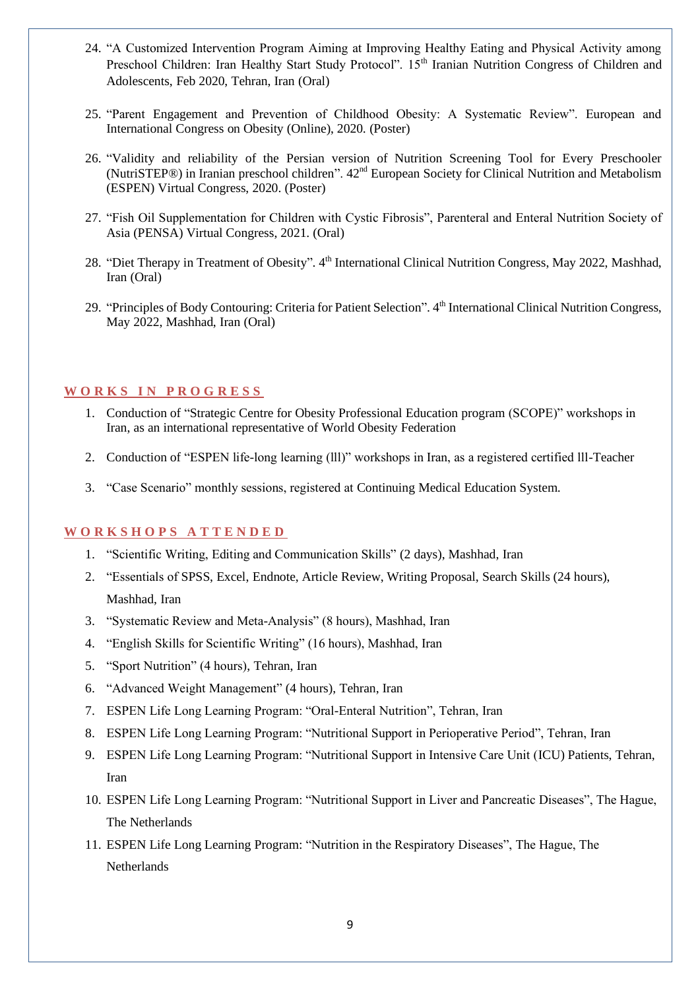- 24. "A Customized Intervention Program Aiming at Improving Healthy Eating and Physical Activity among Preschool Children: Iran Healthy Start Study Protocol". 15<sup>th</sup> Iranian Nutrition Congress of Children and Adolescents, Feb 2020, Tehran, Iran (Oral)
- 25. "Parent Engagement and Prevention of Childhood Obesity: A Systematic Review". European and International Congress on Obesity (Online), 2020. (Poster)
- 26. "Validity and reliability of the Persian version of Nutrition Screening Tool for Every Preschooler (NutriSTEP®) in Iranian preschool children". 42nd European Society for Clinical Nutrition and Metabolism (ESPEN) Virtual Congress, 2020. (Poster)
- 27. "Fish Oil Supplementation for Children with Cystic Fibrosis", Parenteral and Enteral Nutrition Society of Asia (PENSA) Virtual Congress, 2021. (Oral)
- 28. "Diet Therapy in Treatment of Obesity". 4<sup>th</sup> International Clinical Nutrition Congress, May 2022, Mashhad, Iran (Oral)
- 29. "Principles of Body Contouring: Criteria for Patient Selection". 4<sup>th</sup> International Clinical Nutrition Congress, May 2022, Mashhad, Iran (Oral)

### **W O R K S I N P R O G R E S S**

- 1. Conduction of "Strategic Centre for Obesity Professional Education program (SCOPE)" workshops in Iran, as an international representative of World Obesity Federation
- 2. Conduction of "ESPEN life-long learning (lll)" workshops in Iran, as a registered certified lll-Teacher
- 3. "Case Scenario" monthly sessions, registered at Continuing Medical Education System.

#### **W O R K S H O P S A T T E N D E D**

- 1. "Scientific Writing, Editing and Communication Skills" (2 days), Mashhad, Iran
- 2. "Essentials of SPSS, Excel, Endnote, Article Review, Writing Proposal, Search Skills (24 hours), Mashhad, Iran
- 3. "Systematic Review and Meta-Analysis" (8 hours), Mashhad, Iran
- 4. "English Skills for Scientific Writing" (16 hours), Mashhad, Iran
- 5. "Sport Nutrition" (4 hours), Tehran, Iran
- 6. "Advanced Weight Management" (4 hours), Tehran, Iran
- 7. ESPEN Life Long Learning Program: "Oral-Enteral Nutrition", Tehran, Iran
- 8. ESPEN Life Long Learning Program: "Nutritional Support in Perioperative Period", Tehran, Iran
- 9. ESPEN Life Long Learning Program: "Nutritional Support in Intensive Care Unit (ICU) Patients, Tehran, Iran
- 10. ESPEN Life Long Learning Program: "Nutritional Support in Liver and Pancreatic Diseases", The Hague, The Netherlands
- 11. ESPEN Life Long Learning Program: "Nutrition in the Respiratory Diseases", The Hague, The Netherlands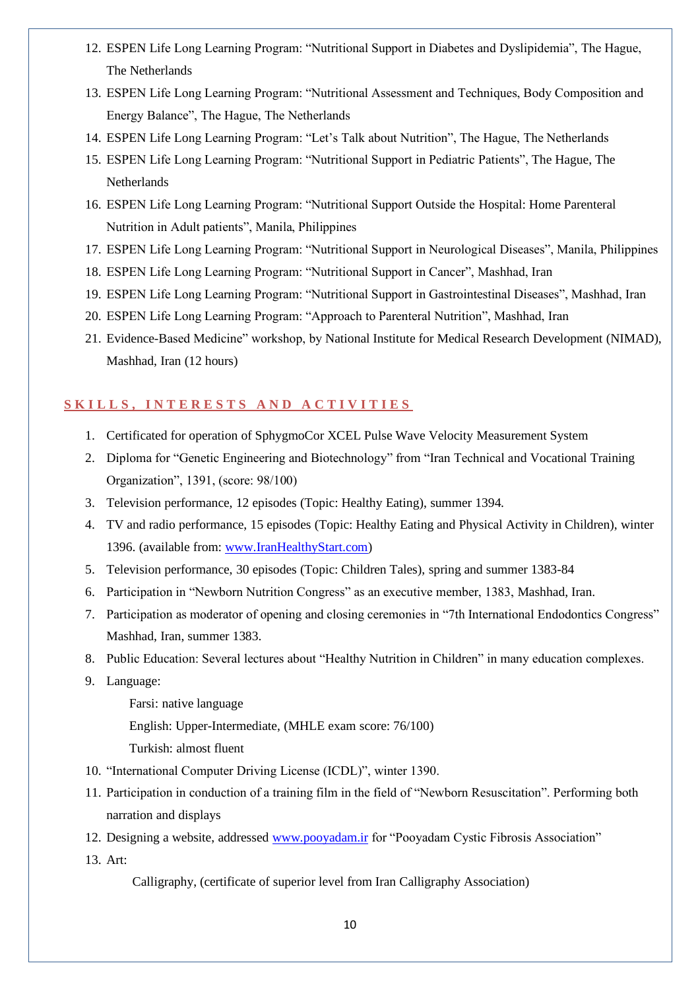- 12. ESPEN Life Long Learning Program: "Nutritional Support in Diabetes and Dyslipidemia", The Hague, The Netherlands
- 13. ESPEN Life Long Learning Program: "Nutritional Assessment and Techniques, Body Composition and Energy Balance", The Hague, The Netherlands
- 14. ESPEN Life Long Learning Program: "Let's Talk about Nutrition", The Hague, The Netherlands
- 15. ESPEN Life Long Learning Program: "Nutritional Support in Pediatric Patients", The Hague, The Netherlands
- 16. ESPEN Life Long Learning Program: "Nutritional Support Outside the Hospital: Home Parenteral Nutrition in Adult patients", Manila, Philippines
- 17. ESPEN Life Long Learning Program: "Nutritional Support in Neurological Diseases", Manila, Philippines
- 18. ESPEN Life Long Learning Program: "Nutritional Support in Cancer", Mashhad, Iran
- 19. ESPEN Life Long Learning Program: "Nutritional Support in Gastrointestinal Diseases", Mashhad, Iran
- 20. ESPEN Life Long Learning Program: "Approach to Parenteral Nutrition", Mashhad, Iran
- 21. Evidence-Based Medicine" workshop, by National Institute for Medical Research Development (NIMAD), Mashhad, Iran (12 hours)

#### SKILLS, INTERESTS AND ACTIVITIES

- 1. Certificated for operation of SphygmoCor XCEL Pulse Wave Velocity Measurement System
- 2. Diploma for "Genetic Engineering and Biotechnology" from "Iran Technical and Vocational Training Organization", 1391, (score: 98/100)
- 3. Television performance, 12 episodes (Topic: Healthy Eating), summer 1394.
- 4. TV and radio performance, 15 episodes (Topic: Healthy Eating and Physical Activity in Children), winter 1396. (available from: [www.IranHealthyStart.com\)](http://www.iranhealthystart.com/)
- 5. Television performance, 30 episodes (Topic: Children Tales), spring and summer 1383-84
- 6. Participation in "Newborn Nutrition Congress" as an executive member, 1383, Mashhad, Iran.
- 7. Participation as moderator of opening and closing ceremonies in "7th International Endodontics Congress" Mashhad, Iran, summer 1383.
- 8. Public Education: Several lectures about "Healthy Nutrition in Children" in many education complexes.
- 9. Language:
	- Farsi: native language
	- English: Upper-Intermediate, (MHLE exam score: 76/100)
	- Turkish: almost fluent
- 10. "International Computer Driving License (ICDL)", winter 1390.
- 11. Participation in conduction of a training film in the field of "Newborn Resuscitation". Performing both narration and displays
- 12. Designing a website, addressed [www.pooyadam.ir](http://www.pooyadam.ir/) for "Pooyadam Cystic Fibrosis Association"
- 13. Art:

Calligraphy, (certificate of superior level from Iran Calligraphy Association)